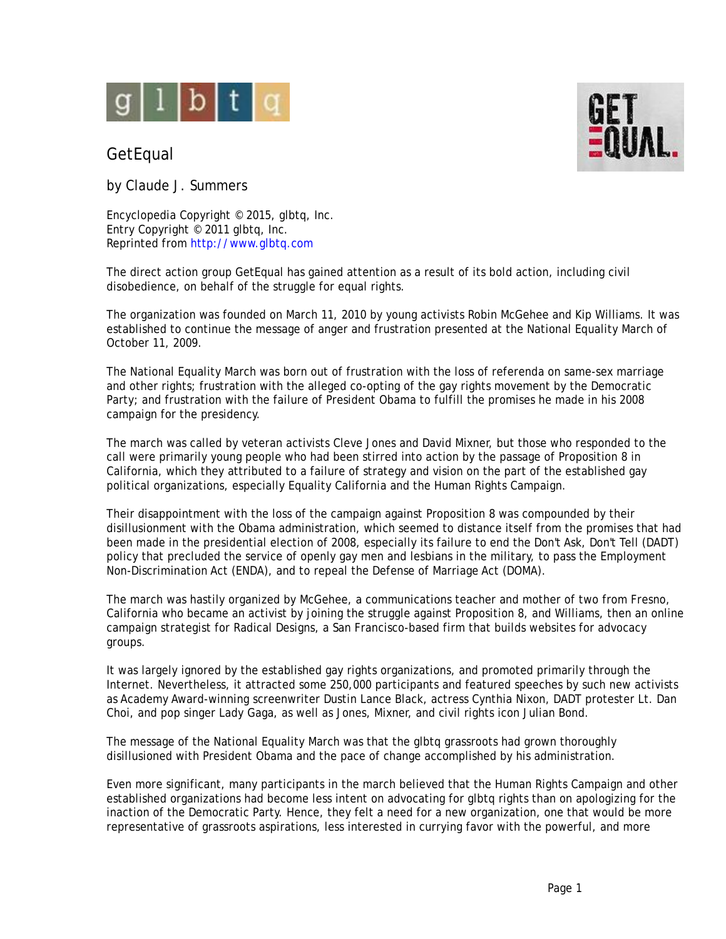

## **GetEqual**

by Claude J. Summers

Encyclopedia Copyright © 2015, glbtq, Inc. Entry Copyright © 2011 glbtq, Inc. Reprinted from<http://www.glbtq.com>

The direct action group GetEqual has gained attention as a result of its bold action, including civil disobedience, on behalf of the struggle for equal rights.

The organization was founded on March 11, 2010 by young activists Robin McGehee and Kip Williams. It was established to continue the message of anger and frustration presented at the National Equality March of October 11, 2009.

The National Equality March was born out of frustration with the loss of referenda on same-sex marriage and other rights; frustration with the alleged co-opting of the gay rights movement by the Democratic Party; and frustration with the failure of President Obama to fulfill the promises he made in his 2008 campaign for the presidency.

The march was called by veteran activists Cleve Jones and David Mixner, but those who responded to the call were primarily young people who had been stirred into action by the passage of Proposition 8 in California, which they attributed to a failure of strategy and vision on the part of the established gay political organizations, especially Equality California and the Human Rights Campaign.

Their disappointment with the loss of the campaign against Proposition 8 was compounded by their disillusionment with the Obama administration, which seemed to distance itself from the promises that had been made in the presidential election of 2008, especially its failure to end the Don't Ask, Don't Tell (DADT) policy that precluded the service of openly gay men and lesbians in the military, to pass the Employment Non-Discrimination Act (ENDA), and to repeal the Defense of Marriage Act (DOMA).

The march was hastily organized by McGehee, a communications teacher and mother of two from Fresno, California who became an activist by joining the struggle against Proposition 8, and Williams, then an online campaign strategist for Radical Designs, a San Francisco-based firm that builds websites for advocacy groups.

It was largely ignored by the established gay rights organizations, and promoted primarily through the Internet. Nevertheless, it attracted some 250,000 participants and featured speeches by such new activists as Academy Award-winning screenwriter Dustin Lance Black, actress Cynthia Nixon, DADT protester Lt. Dan Choi, and pop singer Lady Gaga, as well as Jones, Mixner, and civil rights icon Julian Bond.

The message of the National Equality March was that the glbtq grassroots had grown thoroughly disillusioned with President Obama and the pace of change accomplished by his administration.

Even more significant, many participants in the march believed that the Human Rights Campaign and other established organizations had become less intent on advocating for glbtq rights than on apologizing for the inaction of the Democratic Party. Hence, they felt a need for a new organization, one that would be more representative of grassroots aspirations, less interested in currying favor with the powerful, and more

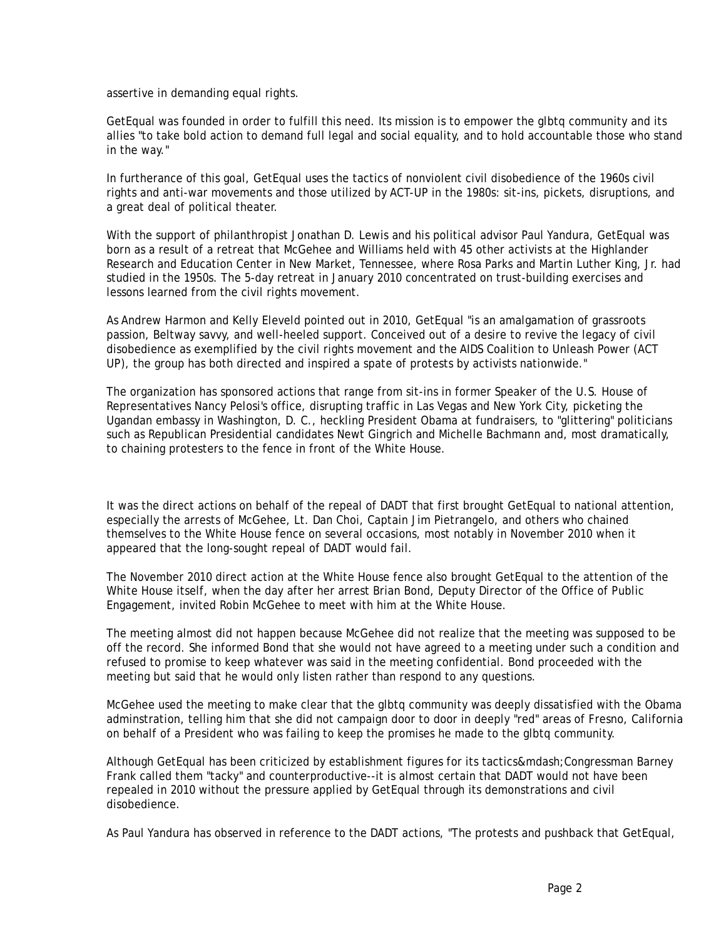assertive in demanding equal rights.

GetEqual was founded in order to fulfill this need. Its mission is to empower the glbtq community and its allies "to take bold action to demand full legal and social equality, and to hold accountable those who stand in the way."

In furtherance of this goal, GetEqual uses the tactics of nonviolent civil disobedience of the 1960s civil rights and anti-war movements and those utilized by ACT-UP in the 1980s: sit-ins, pickets, disruptions, and a great deal of political theater.

With the support of philanthropist Jonathan D. Lewis and his political advisor Paul Yandura, GetEqual was born as a result of a retreat that McGehee and Williams held with 45 other activists at the Highlander Research and Education Center in New Market, Tennessee, where Rosa Parks and Martin Luther King, Jr. had studied in the 1950s. The 5-day retreat in January 2010 concentrated on trust-building exercises and lessons learned from the civil rights movement.

As Andrew Harmon and Kelly Eleveld pointed out in 2010, GetEqual "is an amalgamation of grassroots passion, Beltway savvy, and well-heeled support. Conceived out of a desire to revive the legacy of civil disobedience as exemplified by the civil rights movement and the AIDS Coalition to Unleash Power (ACT UP), the group has both directed and inspired a spate of protests by activists nationwide."

The organization has sponsored actions that range from sit-ins in former Speaker of the U.S. House of Representatives Nancy Pelosi's office, disrupting traffic in Las Vegas and New York City, picketing the Ugandan embassy in Washington, D. C., heckling President Obama at fundraisers, to "glittering" politicians such as Republican Presidential candidates Newt Gingrich and Michelle Bachmann and, most dramatically, to chaining protesters to the fence in front of the White House.

It was the direct actions on behalf of the repeal of DADT that first brought GetEqual to national attention, especially the arrests of McGehee, Lt. Dan Choi, Captain Jim Pietrangelo, and others who chained themselves to the White House fence on several occasions, most notably in November 2010 when it appeared that the long-sought repeal of DADT would fail.

The November 2010 direct action at the White House fence also brought GetEqual to the attention of the White House itself, when the day after her arrest Brian Bond, Deputy Director of the Office of Public Engagement, invited Robin McGehee to meet with him at the White House.

The meeting almost did not happen because McGehee did not realize that the meeting was supposed to be off the record. She informed Bond that she would not have agreed to a meeting under such a condition and refused to promise to keep whatever was said in the meeting confidential. Bond proceeded with the meeting but said that he would only listen rather than respond to any questions.

McGehee used the meeting to make clear that the glbtq community was deeply dissatisfied with the Obama adminstration, telling him that she did not campaign door to door in deeply "red" areas of Fresno, California on behalf of a President who was failing to keep the promises he made to the glbtq community.

Although GetEqual has been criticized by establishment figures for its tactics—Congressman Barney Frank called them "tacky" and counterproductive--it is almost certain that DADT would not have been repealed in 2010 without the pressure applied by GetEqual through its demonstrations and civil disobedience.

As Paul Yandura has observed in reference to the DADT actions, "The protests and pushback that GetEqual,